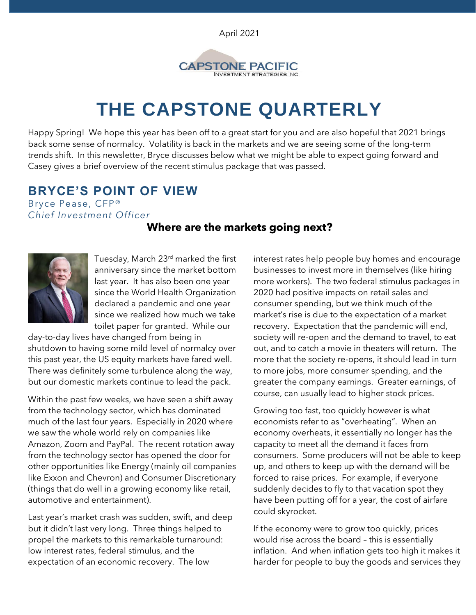April 2021



# **THE CAPSTONE QUARTERLY**

Happy Spring! We hope this year has been off to a great start for you and are also hopeful that 2021 brings back some sense of normalcy. Volatility is back in the markets and we are seeing some of the long-term trends shift. In this newsletter, Bryce discusses below what we might be able to expect going forward and Casey gives a brief overview of the recent stimulus package that was passed.

### **BRYCE'S POINT OF VIEW**

Bryce Pease, CFP® *Chief Investment Officer*

### **Where are the markets going next?**



Tuesday, March 23rd marked the first anniversary since the market bottom last year. It has also been one year since the World Health Organization declared a pandemic and one year since we realized how much we take toilet paper for granted. While our

day-to-day lives have changed from being in shutdown to having some mild level of normalcy over this past year, the US equity markets have fared well. There was definitely some turbulence along the way, but our domestic markets continue to lead the pack.

Within the past few weeks, we have seen a shift away from the technology sector, which has dominated much of the last four years. Especially in 2020 where we saw the whole world rely on companies like Amazon, Zoom and PayPal. The recent rotation away from the technology sector has opened the door for other opportunities like Energy (mainly oil companies like Exxon and Chevron) and Consumer Discretionary (things that do well in a growing economy like retail, automotive and entertainment).

Last year's market crash was sudden, swift, and deep but it didn't last very long. Three things helped to propel the markets to this remarkable turnaround: low interest rates, federal stimulus, and the expectation of an economic recovery. The low

interest rates help people buy homes and encourage businesses to invest more in themselves (like hiring more workers). The two federal stimulus packages in 2020 had positive impacts on retail sales and consumer spending, but we think much of the market's rise is due to the expectation of a market recovery. Expectation that the pandemic will end, society will re-open and the demand to travel, to eat out, and to catch a movie in theaters will return. The more that the society re-opens, it should lead in turn to more jobs, more consumer spending, and the greater the company earnings. Greater earnings, of course, can usually lead to higher stock prices.

Growing too fast, too quickly however is what economists refer to as "overheating". When an economy overheats, it essentially no longer has the capacity to meet all the demand it faces from consumers. Some producers will not be able to keep up, and others to keep up with the demand will be forced to raise prices. For example, if everyone suddenly decides to fly to that vacation spot they have been putting off for a year, the cost of airfare could skyrocket.

If the economy were to grow too quickly, prices would rise across the board – this is essentially inflation. And when inflation gets too high it makes it harder for people to buy the goods and services they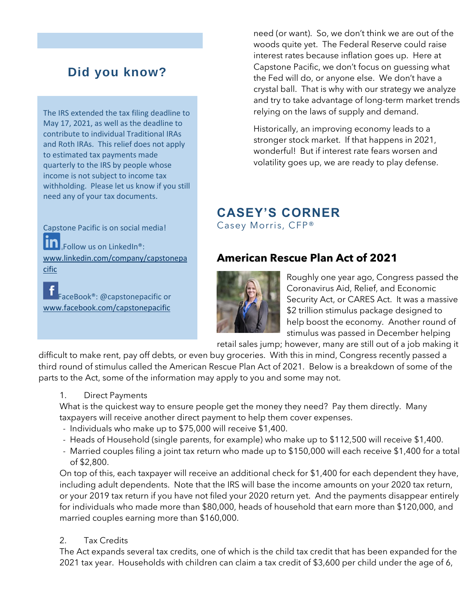# **Did you know?**

The IRS extended the tax filing deadline to May 17, 2021, as well as the deadline to contribute to individual Traditional IRAs and Roth IRAs. This relief does not apply to estimated tax payments made quarterly to the IRS by people whose income is not subject to income tax withholding. Please let us know if you still need any of your tax documents.

Capstone Pacific is on social media! lin **J**<sub></sub>Follow us on LinkedIn<sup>®</sup>: [www.linkedin.com/company/capstonepa](http://www.linkedin.com/company/capstonepacific) [cific](http://www.linkedin.com/company/capstonepacific)

FaceBook®: @capstonepacific or [www.facebook.com/capstonepacific](http://www.facebook.com/capstonepacific)

need (or want). So, we don't think we are out of the woods quite yet. The Federal Reserve could raise interest rates because inflation goes up. Here at Capstone Pacific, we don't focus on guessing what the Fed will do, or anyone else. We don't have a crystal ball. That is why with our strategy we analyze and try to take advantage of long-term market trends relying on the laws of supply and demand.

Historically, an improving economy leads to a stronger stock market. If that happens in 2021, wonderful! But if interest rate fears worsen and volatility goes up, we are ready to play defense.

# **CASEY'S CORNER**

Casey Morris, CFP®

### **American Rescue Plan Act of 2021**



Roughly one year ago, Congress passed the Coronavirus Aid, Relief, and Economic Security Act, or CARES Act. It was a massive \$2 trillion stimulus package designed to help boost the economy. Another round of stimulus was passed in December helping

retail sales jump; however, many are still out of a job making it

difficult to make rent, pay off debts, or even buy groceries. With this in mind, Congress recently passed a third round of stimulus called the American Rescue Plan Act of 2021. Below is a breakdown of some of the parts to the Act, some of the information may apply to you and some may not.

1. Direct Payments

What is the quickest way to ensure people get the money they need? Pay them directly. Many taxpayers will receive another direct payment to help them cover expenses.

- Individuals who make up to \$75,000 will receive \$1,400.
- Heads of Household (single parents, for example) who make up to \$112,500 will receive \$1,400.
- Married couples filing a joint tax return who made up to \$150,000 will each receive \$1,400 for a total of \$2,800.

On top of this, each taxpayer will receive an additional check for \$1,400 for each dependent they have, including adult dependents. Note that the IRS will base the income amounts on your 2020 tax return, or your 2019 tax return if you have not filed your 2020 return yet. And the payments disappear entirely for individuals who made more than \$80,000, heads of household that earn more than \$120,000, and married couples earning more than \$160,000.

#### 2. Tax Credits

The Act expands several tax credits, one of which is the child tax credit that has been expanded for the 2021 tax year. Households with children can claim a tax credit of \$3,600 per child under the age of 6,